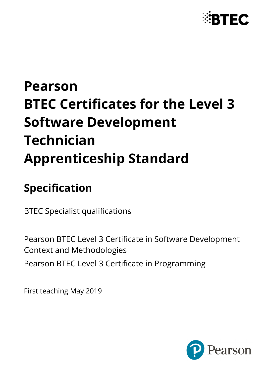

# **Pearson BTEC Certificates for the Level 3 Software Development Technician Apprenticeship Standard**

# **Specification**

BTEC Specialist qualifications

Pearson BTEC Level 3 Certificate in Software Development Context and Methodologies Pearson BTEC Level 3 Certificate in Programming

First teaching May 2019

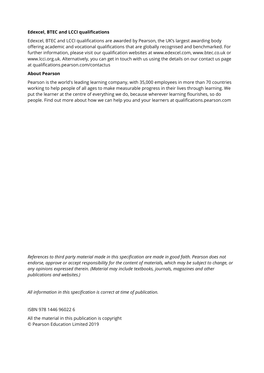#### **Edexcel, BTEC and LCCI qualifications**

Edexcel, BTEC and LCCI qualifications are awarded by Pearson, the UK's largest awarding body offering academic and vocational qualifications that are globally recognised and benchmarked. For further information, please visit our qualification websites at www.edexcel.com, www.btec.co.uk or www.lcci.org.uk. Alternatively, you can get in touch with us using the details on our contact us page at qualifications.pearson.com/contactus

#### **About Pearson**

Pearson is the world's leading learning company, with 35,000 employees in more than 70 countries working to help people of all ages to make measurable progress in their lives through learning. We put the learner at the centre of everything we do, because wherever learning flourishes, so do people. Find out more about how we can help you and your learners at qualifications.pearson.com

*References to third party material made in this specification are made in good faith. Pearson does not endorse, approve or accept responsibility for the content of materials, which may be subject to change, or any opinions expressed therein. (Material may include textbooks, journals, magazines and other publications and websites.)*

*All information in this specification is correct at time of publication.*

ISBN 978 1446 96022 6

All the material in this publication is copyright © Pearson Education Limited 2019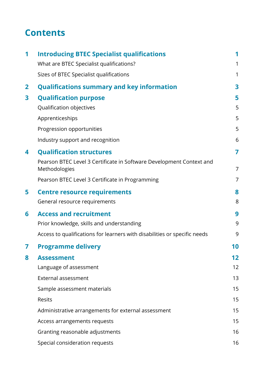### **Contents**

| 1            | <b>Introducing BTEC Specialist qualifications</b>                                     | 1  |
|--------------|---------------------------------------------------------------------------------------|----|
|              | What are BTEC Specialist qualifications?                                              | 1  |
|              | Sizes of BTEC Specialist qualifications                                               | 1  |
| $\mathbf{2}$ | <b>Qualifications summary and key information</b>                                     | 3  |
| 3            | <b>Qualification purpose</b>                                                          | 5  |
|              | Qualification objectives                                                              | 5  |
|              | Apprenticeships                                                                       | 5  |
|              | Progression opportunities                                                             | 5  |
|              | Industry support and recognition                                                      | 6  |
| 4            | <b>Qualification structures</b>                                                       | 7  |
|              | Pearson BTEC Level 3 Certificate in Software Development Context and<br>Methodologies | 7  |
|              | Pearson BTEC Level 3 Certificate in Programming                                       | 7  |
| 5            | <b>Centre resource requirements</b>                                                   | 8  |
|              | General resource requirements                                                         | 8  |
| 6            | <b>Access and recruitment</b>                                                         | 9  |
|              | Prior knowledge, skills and understanding                                             | 9  |
|              | Access to qualifications for learners with disabilities or specific needs             | 9  |
| 7            | <b>Programme delivery</b>                                                             | 10 |
| 8            | <b>Assessment</b>                                                                     | 12 |
|              | Language of assessment                                                                | 12 |
|              | External assessment                                                                   | 13 |
|              | Sample assessment materials                                                           | 15 |
|              | Resits                                                                                | 15 |
|              | Administrative arrangements for external assessment                                   | 15 |
|              | Access arrangements requests                                                          | 15 |
|              | Granting reasonable adjustments                                                       | 16 |
|              | Special consideration requests                                                        | 16 |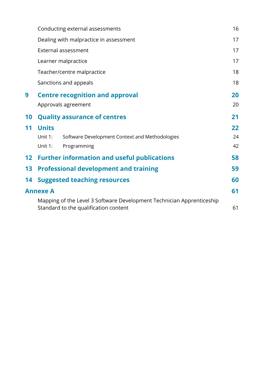|    |                 | Conducting external assessments                                                                                | 16 |
|----|-----------------|----------------------------------------------------------------------------------------------------------------|----|
|    |                 | Dealing with malpractice in assessment                                                                         | 17 |
|    |                 | External assessment                                                                                            | 17 |
|    |                 | Learner malpractice                                                                                            | 17 |
|    |                 | Teacher/centre malpractice                                                                                     | 18 |
|    |                 | Sanctions and appeals                                                                                          | 18 |
| 9  |                 | <b>Centre recognition and approval</b>                                                                         | 20 |
|    |                 | Approvals agreement                                                                                            | 20 |
| 10 |                 | <b>Quality assurance of centres</b>                                                                            | 21 |
| 11 | <b>Units</b>    |                                                                                                                | 22 |
|    | Unit 1:         | Software Development Context and Methodologies                                                                 | 24 |
|    | Unit 1:         | Programming                                                                                                    | 42 |
|    |                 | 12 Further information and useful publications                                                                 | 58 |
| 13 |                 | <b>Professional development and training</b>                                                                   | 59 |
| 14 |                 | <b>Suggested teaching resources</b>                                                                            | 60 |
|    | <b>Annexe A</b> |                                                                                                                | 61 |
|    |                 | Mapping of the Level 3 Software Development Technician Apprenticeship<br>Standard to the qualification content | 61 |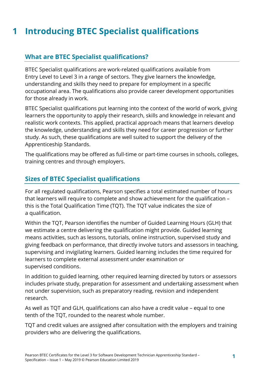### <span id="page-4-0"></span>**1 Introducing BTEC Specialist qualifications**

#### <span id="page-4-1"></span>**What are BTEC Specialist qualifications?**

BTEC Specialist qualifications are work-related qualifications available from Entry Level to Level 3 in a range of sectors. They give learners the knowledge, understanding and skills they need to prepare for employment in a specific occupational area. The qualifications also provide career development opportunities for those already in work.

BTEC Specialist qualifications put learning into the context of the world of work, giving learners the opportunity to apply their research, skills and knowledge in relevant and realistic work contexts. This applied, practical approach means that learners develop the knowledge, understanding and skills they need for career progression or further study. As such, these qualifications are well suited to support the delivery of the Apprenticeship Standards.

The qualifications may be offered as full-time or part-time courses in schools, colleges, training centres and through employers.

#### <span id="page-4-2"></span>**Sizes of BTEC Specialist qualifications**

For all regulated qualifications, Pearson specifies a total estimated number of hours that learners will require to complete and show achievement for the qualification – this is the Total Qualification Time (TQT). The TQT value indicates the size of a qualification.

Within the TQT, Pearson identifies the number of Guided Learning Hours (GLH) that we estimate a centre delivering the qualification might provide. Guided learning means activities, such as lessons, tutorials, online instruction, supervised study and giving feedback on performance, that directly involve tutors and assessors in teaching, supervising and invigilating learners. Guided learning includes the time required for learners to complete external assessment under examination or supervised conditions.

In addition to guided learning, other required learning directed by tutors or assessors includes private study, preparation for assessment and undertaking assessment when not under supervision, such as preparatory reading, revision and independent research.

As well as TQT and GLH, qualifications can also have a credit value – equal to one tenth of the TQT, rounded to the nearest whole number.

TQT and credit values are assigned after consultation with the employers and training providers who are delivering the qualifications.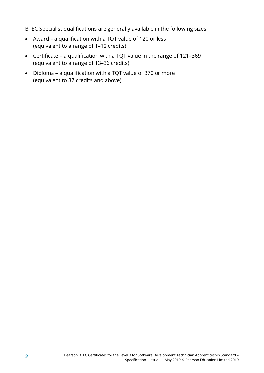BTEC Specialist qualifications are generally available in the following sizes:

- Award a qualification with a TQT value of 120 or less (equivalent to a range of 1–12 credits)
- Certificate a qualification with a TQT value in the range of 121–369 (equivalent to a range of 13–36 credits)
- Diploma a qualification with a TQT value of 370 or more (equivalent to 37 credits and above).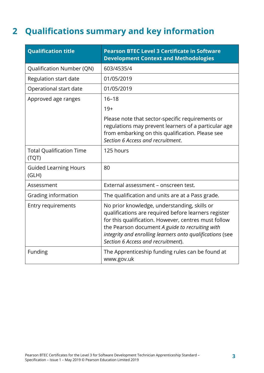### <span id="page-6-0"></span>**2 Qualifications summary and key information**

| <b>Qualification title</b>               | <b>Pearson BTEC Level 3 Certificate in Software</b><br><b>Development Context and Methodologies</b>                                                                                                                                                                                                                |
|------------------------------------------|--------------------------------------------------------------------------------------------------------------------------------------------------------------------------------------------------------------------------------------------------------------------------------------------------------------------|
| Qualification Number (QN)                | 603/4535/4                                                                                                                                                                                                                                                                                                         |
| Regulation start date                    | 01/05/2019                                                                                                                                                                                                                                                                                                         |
| Operational start date                   | 01/05/2019                                                                                                                                                                                                                                                                                                         |
| Approved age ranges                      | $16 - 18$                                                                                                                                                                                                                                                                                                          |
|                                          | $19+$                                                                                                                                                                                                                                                                                                              |
|                                          | Please note that sector-specific requirements or<br>regulations may prevent learners of a particular age<br>from embarking on this qualification. Please see<br>Section 6 Access and recruitment.                                                                                                                  |
| <b>Total Qualification Time</b><br>(TQT) | 125 hours                                                                                                                                                                                                                                                                                                          |
| <b>Guided Learning Hours</b><br>(GLH)    | 80                                                                                                                                                                                                                                                                                                                 |
| Assessment                               | External assessment - onscreen test.                                                                                                                                                                                                                                                                               |
| Grading information                      | The qualification and units are at a Pass grade.                                                                                                                                                                                                                                                                   |
| <b>Entry requirements</b>                | No prior knowledge, understanding, skills or<br>qualifications are required before learners register<br>for this qualification. However, centres must follow<br>the Pearson document A guide to recruiting with<br>integrity and enrolling learners onto qualifications (see<br>Section 6 Access and recruitment). |
| Funding                                  | The Apprenticeship funding rules can be found at<br>www.gov.uk                                                                                                                                                                                                                                                     |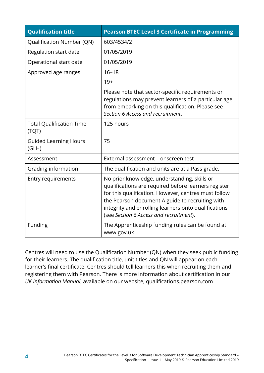| <b>Qualification title</b>               | <b>Pearson BTEC Level 3 Certificate in Programming</b>                                                                                                                                                                                                                                                             |
|------------------------------------------|--------------------------------------------------------------------------------------------------------------------------------------------------------------------------------------------------------------------------------------------------------------------------------------------------------------------|
| Qualification Number (QN)                | 603/4534/2                                                                                                                                                                                                                                                                                                         |
| Regulation start date                    | 01/05/2019                                                                                                                                                                                                                                                                                                         |
| Operational start date                   | 01/05/2019                                                                                                                                                                                                                                                                                                         |
| Approved age ranges                      | $16 - 18$                                                                                                                                                                                                                                                                                                          |
|                                          | $19+$                                                                                                                                                                                                                                                                                                              |
|                                          | Please note that sector-specific requirements or<br>regulations may prevent learners of a particular age<br>from embarking on this qualification. Please see<br>Section 6 Access and recruitment.                                                                                                                  |
| <b>Total Qualification Time</b><br>(TQT) | 125 hours                                                                                                                                                                                                                                                                                                          |
| <b>Guided Learning Hours</b><br>(GLH)    | 75                                                                                                                                                                                                                                                                                                                 |
| Assessment                               | External assessment - onscreen test                                                                                                                                                                                                                                                                                |
| Grading information                      | The qualification and units are at a Pass grade.                                                                                                                                                                                                                                                                   |
| <b>Entry requirements</b>                | No prior knowledge, understanding, skills or<br>qualifications are required before learners register<br>for this qualification. However, centres must follow<br>the Pearson document A guide to recruiting with<br>integrity and enrolling learners onto qualifications<br>(see Section 6 Access and recruitment). |
| Funding                                  | The Apprenticeship funding rules can be found at<br>www.gov.uk                                                                                                                                                                                                                                                     |

Centres will need to use the Qualification Number (QN) when they seek public funding for their learners. The qualification title, unit titles and QN will appear on each learner's final certificate. Centres should tell learners this when recruiting them and registering them with Pearson. There is more information about certification in our *UK Information Manual*, available on our website, qualifications.pearson.com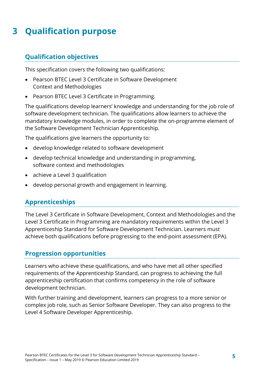## <span id="page-8-0"></span>**3 Qualification purpose**

#### <span id="page-8-1"></span>**Qualification objectives**

This specification covers the following two qualifications:

- Pearson BTEC Level 3 Certificate in Software Development Context and Methodologies
- Pearson BTEC Level 3 Certificate in Programming.

The qualifications develop learners' knowledge and understanding for the job role of software development technician. The qualifications allow learners to achieve the mandatory knowledge modules, in order to complete the on-programme element of the Software Development Technician Apprenticeship.

The qualifications give learners the opportunity to:

- develop knowledge related to software development
- develop technical knowledge and understanding in programming, software context and methodologies
- achieve a Level 3 qualification
- <span id="page-8-2"></span>• develop personal growth and engagement in learning.

#### **Apprenticeships**

The Level 3 Certificate in Software Development, Context and Methodologies and the Level 3 Certificate in Programming are mandatory requirements within the Level 3 Apprenticeship Standard for Software Development Technician. Learners must achieve both qualifications before progressing to the end-point assessment (EPA).

#### <span id="page-8-3"></span>**Progression opportunities**

Learners who achieve these qualifications, and who have met all other specified requirements of the Apprenticeship Standard, can progress to achieving the full apprenticeship certification that confirms competency in the role of software development technician.

With further training and development, learners can progress to a more senior or complex job role, such as Senior Software Developer. They can also progress to the Level 4 Software Developer Apprenticeship.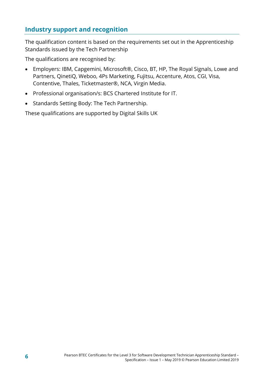#### <span id="page-9-0"></span>**Industry support and recognition**

The qualification content is based on the requirements set out in the Apprenticeship Standards issued by the Tech Partnership

The qualifications are recognised by:

- Employers: IBM, Capgemini, Microsoft®, Cisco, BT, HP, The Royal Signals, Lowe and Partners, QinetiQ, Weboo, 4Ps Marketing, Fujitsu, Accenture, Atos, CGI, Visa, Contentive, Thales, Ticketmaster®, NCA, Virgin Media.
- Professional organisation/s: BCS Chartered Institute for IT.
- Standards Setting Body: The Tech Partnership.

These qualifications are supported by Digital Skills UK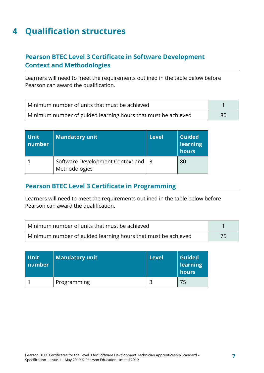### <span id="page-10-0"></span>**4 Qualification structures**

#### <span id="page-10-1"></span>**Pearson BTEC Level 3 Certificate in Software Development Context and Methodologies**

Learners will need to meet the requirements outlined in the table below before Pearson can award the qualification.

| Minimum number of units that must be achieved                 |    |
|---------------------------------------------------------------|----|
| Minimum number of guided learning hours that must be achieved | 80 |

| <b>Unit</b><br>number | <b>Mandatory unit</b>                                 | <b>Level</b> | <b>Guided</b><br>learning<br>hours |
|-----------------------|-------------------------------------------------------|--------------|------------------------------------|
|                       | Software Development Context and   3<br>Methodologies |              | 80                                 |

#### <span id="page-10-2"></span>**Pearson BTEC Level 3 Certificate in Programming**

Learners will need to meet the requirements outlined in the table below before Pearson can award the qualification.

| Minimum number of units that must be achieved                 |  |
|---------------------------------------------------------------|--|
| Minimum number of guided learning hours that must be achieved |  |

| <b>Unit</b><br>number | <b>Mandatory unit</b> | Level | <b>Guided</b><br>learning<br>hours |
|-----------------------|-----------------------|-------|------------------------------------|
|                       | Programming           |       |                                    |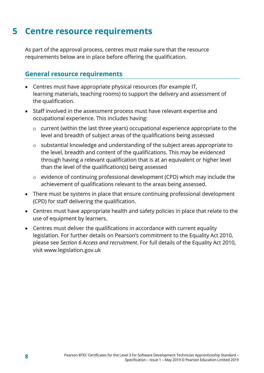### <span id="page-11-0"></span>**5 Centre resource requirements**

As part of the approval process, centres must make sure that the resource requirements below are in place before offering the qualification.

#### <span id="page-11-1"></span>**General resource requirements**

- Centres must have appropriate physical resources (for example IT, learning materials, teaching rooms) to support the delivery and assessment of the qualification.
- Staff involved in the assessment process must have relevant expertise and occupational experience. This includes having:
	- o current (within the last three years) occupational experience appropriate to the level and breadth of subject areas of the qualifications being assessed
	- o substantial knowledge and understanding of the subject areas appropriate to the level, breadth and content of the qualifications. This may be evidenced through having a relevant qualification that is at an equivalent or higher level than the level of the qualification(s) being assessed
	- o evidence of continuing professional development (CPD) which may include the achievement of qualifications relevant to the areas being assessed.
- There must be systems in place that ensure continuing professional development (CPD) for staff delivering the qualification.
- Centres must have appropriate health and safety policies in place that relate to the use of equipment by learners.
- Centres must deliver the qualifications in accordance with current equality legislation. For further details on Pearson's commitment to the Equality Act 2010, please see *Section 6 Access and recruitment*. For full details of the Equality Act 2010, visit www.legislation.gov.uk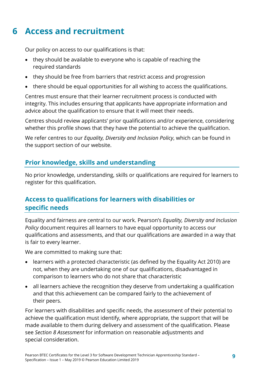### <span id="page-12-0"></span>**6 Access and recruitment**

Our policy on access to our qualifications is that:

- they should be available to everyone who is capable of reaching the required standards
- they should be free from barriers that restrict access and progression
- there should be equal opportunities for all wishing to access the qualifications.

Centres must ensure that their learner recruitment process is conducted with integrity. This includes ensuring that applicants have appropriate information and advice about the qualification to ensure that it will meet their needs.

Centres should review applicants' prior qualifications and/or experience, considering whether this profile shows that they have the potential to achieve the qualification.

We refer centres to our *Equality, Diversity and Inclusion Policy*, which can be found in the support section of our website.

#### <span id="page-12-1"></span>**Prior knowledge, skills and understanding**

No prior knowledge, understanding, skills or qualifications are required for learners to register for this qualification.

#### <span id="page-12-2"></span>**Access to qualifications for learners with disabilities or specific needs**

Equality and fairness are central to our work. Pearson's *Equality, Diversity and Inclusion Policy* document requires all learners to have equal opportunity to access our qualifications and assessments, and that our qualifications are awarded in a way that is fair to every learner.

We are committed to making sure that:

- learners with a protected characteristic (as defined by the Equality Act 2010) are not, when they are undertaking one of our qualifications, disadvantaged in comparison to learners who do not share that characteristic
- all learners achieve the recognition they deserve from undertaking a qualification and that this achievement can be compared fairly to the achievement of their peers.

For learners with disabilities and specific needs, the assessment of their potential to achieve the qualification must identify, where appropriate, the support that will be made available to them during delivery and assessment of the qualification. Please see *Section 8 Assessment* for information on reasonable adjustments and special consideration.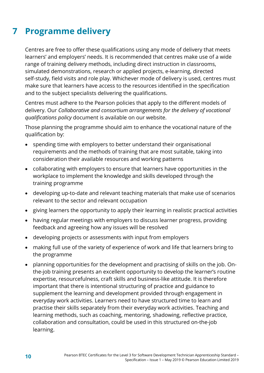### <span id="page-13-0"></span>**7 Programme delivery**

Centres are free to offer these qualifications using any mode of delivery that meets learners' and employers' needs. It is recommended that centres make use of a wide range of training delivery methods, including direct instruction in classrooms, simulated demonstrations, research or applied projects, e-learning, directed self-study, field visits and role play. Whichever mode of delivery is used, centres must make sure that learners have access to the resources identified in the specification and to the subject specialists delivering the qualifications.

Centres must adhere to the Pearson policies that apply to the different models of delivery. Our *Collaborative and consortium arrangements for the delivery of vocational qualifications policy* document is available on our website.

Those planning the programme should aim to enhance the vocational nature of the qualification by:

- spending time with employers to better understand their organisational requirements and the methods of training that are most suitable, taking into consideration their available resources and working patterns
- collaborating with employers to ensure that learners have opportunities in the workplace to implement the knowledge and skills developed through the training programme
- developing up-to-date and relevant teaching materials that make use of scenarios relevant to the sector and relevant occupation
- giving learners the opportunity to apply their learning in realistic practical activities
- having regular meetings with employers to discuss learner progress, providing feedback and agreeing how any issues will be resolved
- developing projects or assessments with input from employers
- making full use of the variety of experience of work and life that learners bring to the programme
- planning opportunities for the development and practising of skills on the job. Onthe-job training presents an excellent opportunity to develop the learner's routine expertise, resourcefulness, craft skills and business-like attitude. It is therefore important that there is intentional structuring of practice and guidance to supplement the learning and development provided through engagement in everyday work activities. Learners need to have structured time to learn and practise their skills separately from their everyday work activities. Teaching and learning methods, such as coaching, mentoring, shadowing, reflective practice, collaboration and consultation, could be used in this structured on-the-job learning.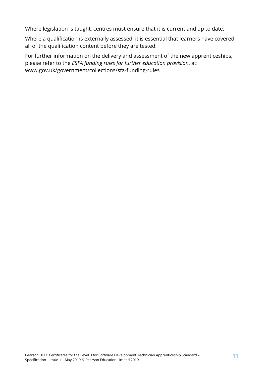Where legislation is taught, centres must ensure that it is current and up to date.

Where a qualification is externally assessed, it is essential that learners have covered all of the qualification content before they are tested.

For further information on the delivery and assessment of the new apprenticeships, please refer to the *ESFA funding rules for further education provision*, at: www.gov.uk/government/collections/sfa-funding-rules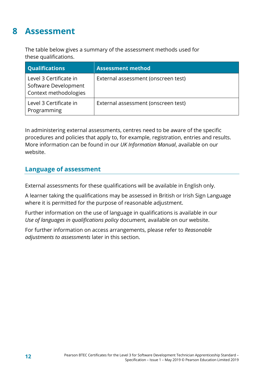### <span id="page-15-0"></span>**8 Assessment**

The table below gives a summary of the assessment methods used for these qualifications.

| <b>Qualifications</b>                                                   | <b>Assessment method</b>            |
|-------------------------------------------------------------------------|-------------------------------------|
| Level 3 Certificate in<br>Software Development<br>Context methodologies | External assessment (onscreen test) |
| Level 3 Certificate in<br>Programming                                   | External assessment (onscreen test) |

In administering external assessments, centres need to be aware of the specific procedures and policies that apply to, for example, registration, entries and results. More information can be found in our *UK Information Manual*, available on our website.

#### <span id="page-15-1"></span>**Language of assessment**

External assessments for these qualifications will be available in English only.

A learner taking the qualifications may be assessed in British or Irish Sign Language where it is permitted for the purpose of reasonable adjustment.

Further information on the use of language in qualifications is available in our *Use of languages in qualifications policy* document*,* available on our website.

For further information on access arrangements, please refer to *Reasonable adjustments to assessments* later in this section.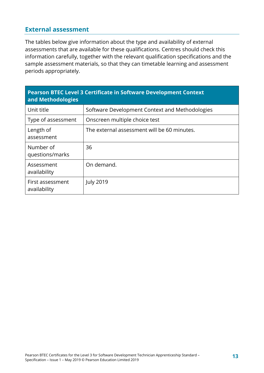#### <span id="page-16-0"></span>**External assessment**

The tables below give information about the type and availability of external assessments that are available for these qualifications. Centres should check this information carefully, together with the relevant qualification specifications and the sample assessment materials, so that they can timetable learning and assessment periods appropriately.

| <b>Pearson BTEC Level 3 Certificate in Software Development Context</b><br>and Methodologies |                                                |  |
|----------------------------------------------------------------------------------------------|------------------------------------------------|--|
| Unit title                                                                                   | Software Development Context and Methodologies |  |
| Type of assessment                                                                           | Onscreen multiple choice test                  |  |
| Length of<br>assessment                                                                      | The external assessment will be 60 minutes.    |  |
| Number of<br>questions/marks                                                                 | 36                                             |  |
| Assessment<br>availability                                                                   | On demand.                                     |  |
| First assessment<br>availability                                                             | <b>July 2019</b>                               |  |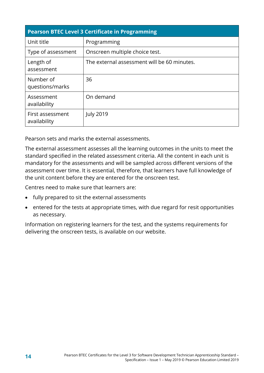| <b>Pearson BTEC Level 3 Certificate in Programming</b> |                                             |  |
|--------------------------------------------------------|---------------------------------------------|--|
| Unit title                                             | Programming                                 |  |
| Type of assessment                                     | Onscreen multiple choice test.              |  |
| Length of<br>assessment                                | The external assessment will be 60 minutes. |  |
| Number of<br>questions/marks                           | 36                                          |  |
| Assessment<br>availability                             | On demand                                   |  |
| First assessment<br>availability                       | <b>July 2019</b>                            |  |

Pearson sets and marks the external assessments.

The external assessment assesses all the learning outcomes in the units to meet the standard specified in the related assessment criteria. All the content in each unit is mandatory for the assessments and will be sampled across different versions of the assessment over time. It is essential, therefore, that learners have full knowledge of the unit content before they are entered for the onscreen test.

Centres need to make sure that learners are:

- fully prepared to sit the external assessments
- entered for the tests at appropriate times, with due regard for resit opportunities as necessary.

Information on registering learners for the test, and the systems requirements for delivering the onscreen tests, is available on our website.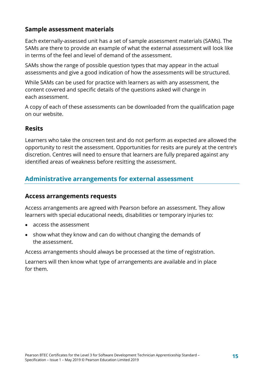#### <span id="page-18-0"></span>**Sample assessment materials**

Each externally-assessed unit has a set of sample assessment materials (SAMs). The SAMs are there to provide an example of what the external assessment will look like in terms of the feel and level of demand of the assessment.

SAMs show the range of possible question types that may appear in the actual assessments and give a good indication of how the assessments will be structured.

While SAMs can be used for practice with learners as with any assessment, the content covered and specific details of the questions asked will change in each assessment.

A copy of each of these assessments can be downloaded from the qualification page on our website.

#### <span id="page-18-1"></span>**Resits**

Learners who take the onscreen test and do not perform as expected are allowed the opportunity to resit the assessment. Opportunities for resits are purely at the centre's discretion. Centres will need to ensure that learners are fully prepared against any identified areas of weakness before resitting the assessment.

#### <span id="page-18-2"></span>**Administrative arrangements for external assessment**

#### <span id="page-18-3"></span>**Access arrangements requests**

Access arrangements are agreed with Pearson before an assessment. They allow learners with special educational needs, disabilities or temporary injuries to:

- access the assessment
- show what they know and can do without changing the demands of the assessment.

Access arrangements should always be processed at the time of registration.

Learners will then know what type of arrangements are available and in place for them.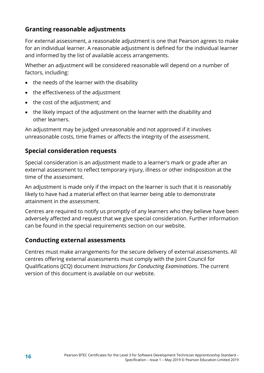#### <span id="page-19-0"></span>**Granting reasonable adjustments**

For external assessment, a reasonable adjustment is one that Pearson agrees to make for an individual learner. A reasonable adjustment is defined for the individual learner and informed by the list of available access arrangements.

Whether an adjustment will be considered reasonable will depend on a number of factors, including:

- the needs of the learner with the disability
- the effectiveness of the adjustment
- the cost of the adjustment; and
- the likely impact of the adjustment on the learner with the disability and other learners.

An adjustment may be judged unreasonable and not approved if it involves unreasonable costs, time frames or affects the integrity of the assessment.

#### <span id="page-19-1"></span>**Special consideration requests**

Special consideration is an adjustment made to a learner's mark or grade after an external assessment to reflect temporary injury, illness or other indisposition at the time of the assessment.

An adjustment is made only if the impact on the learner is such that it is reasonably likely to have had a material effect on that learner being able to demonstrate attainment in the assessment.

Centres are required to notify us promptly of any learners who they believe have been adversely affected and request that we give special consideration. Further information can be found in the special requirements section on our website.

#### <span id="page-19-2"></span>**Conducting external assessments**

Centres must make arrangements for the secure delivery of external assessments. All centres offering external assessments must comply with the Joint Council for Qualifications (JCQ) document *Instructions for Conducting Examinations*. The current version of this document is available on our website.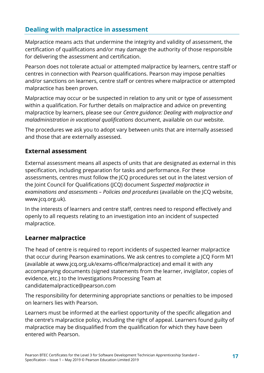### <span id="page-20-0"></span>**Dealing with malpractice in assessment**

Malpractice means acts that undermine the integrity and validity of assessment, the certification of qualifications and/or may damage the authority of those responsible for delivering the assessment and certification.

Pearson does not tolerate actual or attempted malpractice by learners, centre staff or centres in connection with Pearson qualifications. Pearson may impose penalties and/or sanctions on learners, centre staff or centres where malpractice or attempted malpractice has been proven.

Malpractice may occur or be suspected in relation to any unit or type of assessment within a qualification. For further details on malpractice and advice on preventing malpractice by learners, please see our *Centre guidance: Dealing with malpractice and maladministration in vocational qualifications* document, available on our website.

The procedures we ask you to adopt vary between units that are internally assessed and those that are externally assessed.

#### <span id="page-20-1"></span>**External assessment**

External assessment means all aspects of units that are designated as external in this specification, including preparation for tasks and performance. For these assessments, centres must follow the JCQ procedures set out in the latest version of the Joint Council for Qualifications (JCQ) document *Suspected malpractice in examinations and assessments – Policies and procedures* (available on the JCQ website, www.jcq.org.uk).

In the interests of learners and centre staff, centres need to respond effectively and openly to all requests relating to an investigation into an incident of suspected malpractice.

#### <span id="page-20-2"></span>**Learner malpractice**

The head of centre is required to report incidents of suspected learner malpractice that occur during Pearson examinations. We ask centres to complete a JCQ Form M1 (available at www.jcq.org.uk/exams-office/malpractice) and email it with any accompanying documents (signed statements from the learner, invigilator, copies of evidence, etc.) to the Investigations Processing Team at candidatemalpractice@pearson.com

The responsibility for determining appropriate sanctions or penalties to be imposed on learners lies with Pearson.

Learners must be informed at the earliest opportunity of the specific allegation and the centre's malpractice policy, including the right of appeal. Learners found guilty of malpractice may be disqualified from the qualification for which they have been entered with Pearson.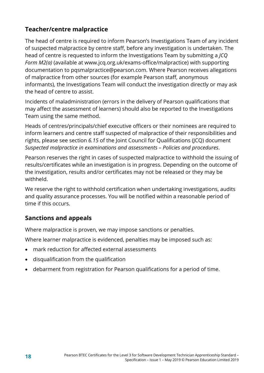#### <span id="page-21-0"></span>**Teacher/centre malpractice**

The head of centre is required to inform Pearson's Investigations Team of any incident of suspected malpractice by centre staff, before any investigation is undertaken. The head of centre is requested to inform the Investigations Team by submitting a *JCQ Form M2(a)* (available at www.jcq.org.uk/exams-office/malpractice) with supporting documentation to pqsmalpractice@pearson.com. Where Pearson receives allegations of malpractice from other sources (for example Pearson staff, anonymous informants), the Investigations Team will conduct the investigation directly or may ask the head of centre to assist.

Incidents of maladministration (errors in the delivery of Pearson qualifications that may affect the assessment of learners) should also be reported to the Investigations Team using the same method.

Heads of centres/principals/chief executive officers or their nominees are required to inform learners and centre staff suspected of malpractice of their responsibilities and rights, please see section *6.15* of the Joint Council for Qualifications (JCQ) document *Suspected malpractice in examinations and assessments – Policies and procedures*.

Pearson reserves the right in cases of suspected malpractice to withhold the issuing of results/certificates while an investigation is in progress. Depending on the outcome of the investigation, results and/or certificates may not be released or they may be withheld.

We reserve the right to withhold certification when undertaking investigations, audits and quality assurance processes. You will be notified within a reasonable period of time if this occurs.

#### <span id="page-21-1"></span>**Sanctions and appeals**

Where malpractice is proven, we may impose sanctions or penalties.

Where learner malpractice is evidenced, penalties may be imposed such as:

- mark reduction for affected external assessments
- disqualification from the qualification
- debarment from registration for Pearson qualifications for a period of time.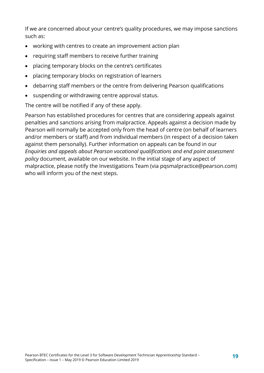If we are concerned about your centre's quality procedures, we may impose sanctions such as:

- working with centres to create an improvement action plan
- requiring staff members to receive further training
- placing temporary blocks on the centre's certificates
- placing temporary blocks on registration of learners
- debarring staff members or the centre from delivering Pearson qualifications
- suspending or withdrawing centre approval status.

The centre will be notified if any of these apply.

Pearson has established procedures for centres that are considering appeals against penalties and sanctions arising from malpractice. Appeals against a decision made by Pearson will normally be accepted only from the head of centre (on behalf of learners and/or members or staff) and from individual members (in respect of a decision taken against them personally). Further information on appeals can be found in our *Enquiries and appeals about Pearson vocational qualifications and end point assessment policy* document, available on our website. In the initial stage of any aspect of malpractice, please notify the Investigations Team (via pqsmalpractice@pearson.com) who will inform you of the next steps.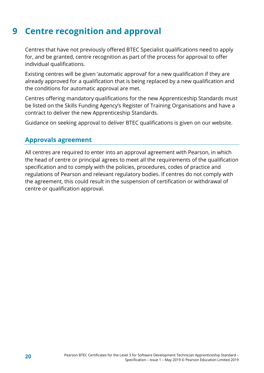### <span id="page-23-0"></span>**9 Centre recognition and approval**

Centres that have not previously offered BTEC Specialist qualifications need to apply for, and be granted, centre recognition as part of the process for approval to offer individual qualifications.

Existing centres will be given 'automatic approval' for a new qualification if they are already approved for a qualification that is being replaced by a new qualification and the conditions for automatic approval are met.

Centres offering mandatory qualifications for the new Apprenticeship Standards must be listed on the Skills Funding Agency's Register of Training Organisations and have a contract to deliver the new Apprenticeship Standards.

<span id="page-23-1"></span>Guidance on seeking approval to deliver BTEC qualifications is given on our website.

#### **Approvals agreement**

All centres are required to enter into an approval agreement with Pearson, in which the head of centre or principal agrees to meet all the requirements of the qualification specification and to comply with the policies, procedures, codes of practice and regulations of Pearson and relevant regulatory bodies. If centres do not comply with the agreement, this could result in the suspension of certification or withdrawal of centre or qualification approval.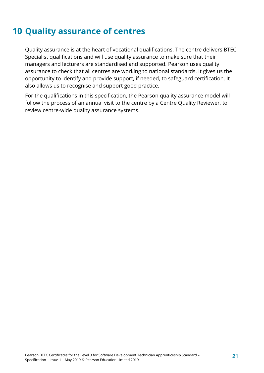### <span id="page-24-0"></span>**10 Quality assurance of centres**

Quality assurance is at the heart of vocational qualifications. The centre delivers BTEC Specialist qualifications and will use quality assurance to make sure that their managers and lecturers are standardised and supported. Pearson uses quality assurance to check that all centres are working to national standards. It gives us the opportunity to identify and provide support, if needed, to safeguard certification. It also allows us to recognise and support good practice.

For the qualifications in this specification, the Pearson quality assurance model will follow the process of an annual visit to the centre by a Centre Quality Reviewer, to review centre-wide quality assurance systems.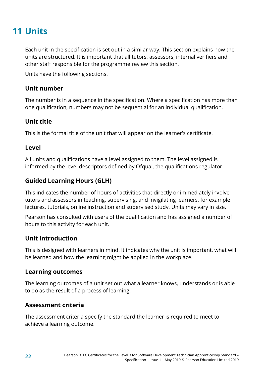### <span id="page-25-0"></span>**11 Units**

Each unit in the specification is set out in a similar way. This section explains how the units are structured. It is important that all tutors, assessors, internal verifiers and other staff responsible for the programme review this section.

Units have the following sections.

#### **Unit number**

The number is in a sequence in the specification. Where a specification has more than one qualification, numbers may not be sequential for an individual qualification.

#### **Unit title**

This is the formal title of the unit that will appear on the learner's certificate.

#### **Level**

All units and qualifications have a level assigned to them. The level assigned is informed by the level descriptors defined by Ofqual, the qualifications regulator.

#### **Guided Learning Hours (GLH)**

This indicates the number of hours of activities that directly or immediately involve tutors and assessors in teaching, supervising, and invigilating learners, for example lectures, tutorials, online instruction and supervised study. Units may vary in size.

Pearson has consulted with users of the qualification and has assigned a number of hours to this activity for each unit.

#### **Unit introduction**

This is designed with learners in mind. It indicates why the unit is important, what will be learned and how the learning might be applied in the workplace.

#### **Learning outcomes**

The learning outcomes of a unit set out what a learner knows, understands or is able to do as the result of a process of learning.

#### **Assessment criteria**

The assessment criteria specify the standard the learner is required to meet to achieve a learning outcome.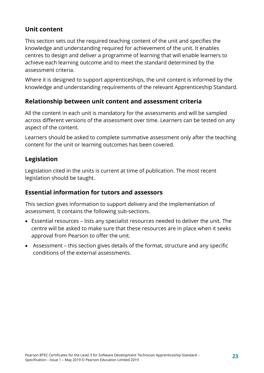#### **Unit content**

This section sets out the required teaching content of the unit and specifies the knowledge and understanding required for achievement of the unit. It enables centres to design and deliver a programme of learning that will enable learners to achieve each learning outcome and to meet the standard determined by the assessment criteria.

Where it is designed to support apprenticeships, the unit content is informed by the knowledge and understanding requirements of the relevant Apprenticeship Standard.

#### **Relationship between unit content and assessment criteria**

All the content in each unit is mandatory for the assessments and will be sampled across different versions of the assessment over time. Learners can be tested on any aspect of the content.

Learners should be asked to complete summative assessment only after the teaching content for the unit or learning outcomes has been covered.

#### **Legislation**

Legislation cited in the units is current at time of publication. The most recent legislation should be taught.

#### **Essential information for tutors and assessors**

This section gives information to support delivery and the implementation of assessment. It contains the following sub-sections.

- Essential resources lists any specialist resources needed to deliver the unit. The centre will be asked to make sure that these resources are in place when it seeks approval from Pearson to offer the unit.
- Assessment this section gives details of the format, structure and any specific conditions of the external assessments.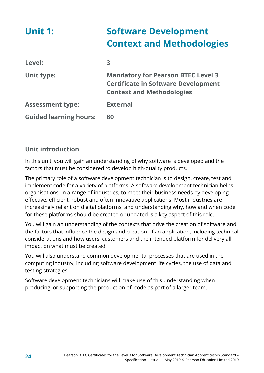<span id="page-27-0"></span>

| <b>Unit 1:</b>                | <b>Software Development</b><br><b>Context and Methodologies</b>                                                             |
|-------------------------------|-----------------------------------------------------------------------------------------------------------------------------|
| Level:                        | 3                                                                                                                           |
| <b>Unit type:</b>             | <b>Mandatory for Pearson BTEC Level 3</b><br><b>Certificate in Software Development</b><br><b>Context and Methodologies</b> |
| <b>Assessment type:</b>       | <b>External</b>                                                                                                             |
| <b>Guided learning hours:</b> | 80                                                                                                                          |

#### **Unit introduction**

In this unit, you will gain an understanding of why software is developed and the factors that must be considered to develop high-quality products.

The primary role of a software development technician is to design, create, test and implement code for a variety of platforms. A software development technician helps organisations, in a range of industries, to meet their business needs by developing effective, efficient, robust and often innovative applications. Most industries are increasingly reliant on digital platforms, and understanding why, how and when code for these platforms should be created or updated is a key aspect of this role.

You will gain an understanding of the contexts that drive the creation of software and the factors that influence the design and creation of an application, including technical considerations and how users, customers and the intended platform for delivery all impact on what must be created.

You will also understand common developmental processes that are used in the computing industry, including software development life cycles, the use of data and testing strategies.

Software development technicians will make use of this understanding when producing, or supporting the production of, code as part of a larger team.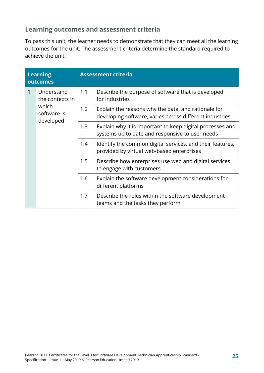#### **Learning outcomes and assessment criteria**

To pass this unit, the learner needs to demonstrate that they can meet all the learning outcomes for the unit. The assessment criteria determine the standard required to achieve the unit.

| <b>Learning</b><br>outcomes |                                                                    | <b>Assessment criteria</b> |                                                                                                                |
|-----------------------------|--------------------------------------------------------------------|----------------------------|----------------------------------------------------------------------------------------------------------------|
|                             | Understand<br>the contexts in<br>which<br>software is<br>developed | 1.1                        | Describe the purpose of software that is developed<br>for industries                                           |
|                             |                                                                    | 1.2                        | Explain the reasons why the data, and rationale for<br>developing software, varies across different industries |
|                             |                                                                    | 1.3                        | Explain why it is important to keep digital processes and<br>systems up to date and responsive to user needs   |
|                             |                                                                    | 1.4                        | Identify the common digital services, and their features,<br>provided by virtual web-based enterprises         |
|                             |                                                                    | 1.5                        | Describe how enterprises use web and digital services<br>to engage with customers                              |
|                             |                                                                    | 1.6                        | Explain the software development considerations for<br>different platforms                                     |
|                             |                                                                    | 1.7                        | Describe the roles within the software development<br>teams and the tasks they perform                         |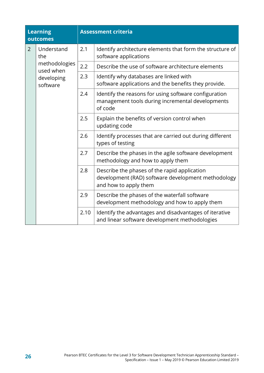| <b>Learning</b><br>outcomes |                                                                           | <b>Assessment criteria</b> |                                                                                                                             |  |
|-----------------------------|---------------------------------------------------------------------------|----------------------------|-----------------------------------------------------------------------------------------------------------------------------|--|
| $\overline{2}$              | Understand<br>the<br>methodologies<br>used when<br>developing<br>software | 2.1                        | Identify architecture elements that form the structure of<br>software applications                                          |  |
|                             |                                                                           | 2.2                        | Describe the use of software architecture elements                                                                          |  |
|                             |                                                                           | 2.3                        | Identify why databases are linked with<br>software applications and the benefits they provide.                              |  |
|                             |                                                                           | 2.4                        | Identify the reasons for using software configuration<br>management tools during incremental developments<br>of code        |  |
|                             |                                                                           | 2.5                        | Explain the benefits of version control when<br>updating code                                                               |  |
|                             |                                                                           | 2.6                        | Identify processes that are carried out during different<br>types of testing                                                |  |
|                             |                                                                           | 2.7                        | Describe the phases in the agile software development<br>methodology and how to apply them                                  |  |
|                             |                                                                           | 2.8                        | Describe the phases of the rapid application<br>development (RAD) software development methodology<br>and how to apply them |  |
|                             |                                                                           | 2.9                        | Describe the phases of the waterfall software<br>development methodology and how to apply them                              |  |
|                             |                                                                           | 2.10                       | Identify the advantages and disadvantages of iterative<br>and linear software development methodologies                     |  |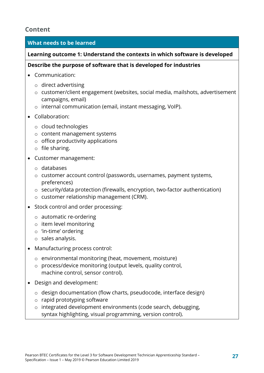#### **Content**

#### **What needs to be learned**

#### **Learning outcome 1: Understand the contexts in which software is developed**

#### **Describe the purpose of software that is developed for industries**

- Communication:
	- o direct advertising
	- o customer/client engagement (websites, social media, mailshots, advertisement campaigns, email)
	- o internal communication (email, instant messaging, VoIP).
- Collaboration:
	- o cloud technologies
	- o content management systems
	- $\circ$  office productivity applications
	- o file sharing.
- Customer management:
	- o databases
	- o customer account control (passwords, usernames, payment systems, preferences)
	- o security/data protection (firewalls, encryption, two-factor authentication)
	- o customer relationship management (CRM).
- Stock control and order processing:
	- o automatic re-ordering
	- o item level monitoring
	- o 'in-time' ordering
	- o sales analysis.
- Manufacturing process control:
	- o environmental monitoring (heat, movement, moisture)
	- o process/device monitoring (output levels, quality control, machine control, sensor control).
- Design and development:
	- o design documentation (flow charts, pseudocode, interface design)
	- o rapid prototyping software
	- o integrated development environments (code search, debugging, syntax highlighting, visual programming, version control).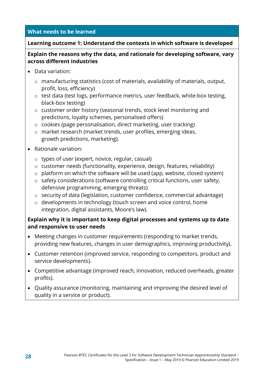#### **Learning outcome 1: Understand the contexts in which software is developed**

#### **Explain the reasons why the data, and rationale for developing software, vary across different industries**

- Data variation:
	- o manufacturing statistics (cost of materials, availability of materials, output, profit, loss, efficiency)
	- o test data (test logs, performance metrics, user feedback, white-box testing, black-box testing)
	- o customer order history (seasonal trends, stock level monitoring and predictions, loyalty schemes, personalised offers)
	- o cookies (page personalisation, direct marketing, user tracking)
	- o market research (market trends, user profiles, emerging ideas, growth predictions, marketing).
- Rationale variation:
	- o types of user (expert, novice, regular, casual)
	- o customer needs (functionality, experience, design, features, reliability)
	- o platform on which the software will be used (app, website, closed system)
	- o safety considerations (software controlling critical functions, user safety, defensive programming, emerging threats)
	- o security of data (legislation, customer confidence, commercial advantage)
	- o developments in technology (touch screen and voice control, home integration, digital assistants, Moore's law).

#### **Explain why it is important to keep digital processes and systems up to date and responsive to user needs**

- Meeting changes in customer requirements (responding to market trends, providing new features, changes in user demographics, improving productivity).
- Customer retention (improved service, responding to competitors, product and service developments).
- Competitive advantage (improved reach, innovation, reduced overheads, greater profits).
- Quality assurance (monitoring, maintaining and improving the desired level of quality in a service or product).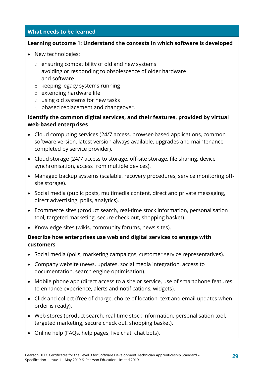#### **Learning outcome 1: Understand the contexts in which software is developed**

- New technologies:
	- o ensuring compatibility of old and new systems
	- o avoiding or responding to obsolescence of older hardware and software
	- o keeping legacy systems running
	- o extending hardware life
	- o using old systems for new tasks
	- o phased replacement and changeover.

#### **Identify the common digital services, and their features, provided by virtual web-based enterprises**

- Cloud computing services (24/7 access, browser-based applications, common software version, latest version always available, upgrades and maintenance completed by service provider).
- Cloud storage (24/7 access to storage, off-site storage, file sharing, device synchronisation, access from multiple devices).
- Managed backup systems (scalable, recovery procedures, service monitoring offsite storage).
- Social media (public posts, multimedia content, direct and private messaging, direct advertising, polls, analytics).
- Ecommerce sites (product search, real-time stock information, personalisation tool, targeted marketing, secure check out, shopping basket).
- Knowledge sites (wikis, community forums, news sites).

#### **Describe how enterprises use web and digital services to engage with customers**

- Social media (polls, marketing campaigns, customer service representatives).
- Company website (news, updates, social media integration, access to documentation, search engine optimisation).
- Mobile phone app (direct access to a site or service, use of smartphone features to enhance experience, alerts and notifications, widgets).
- Click and collect (free of charge, choice of location, text and email updates when order is ready).
- Web stores (product search, real-time stock information, personalisation tool, targeted marketing, secure check out, shopping basket).
- Online help (FAQs, help pages, live chat, chat bots).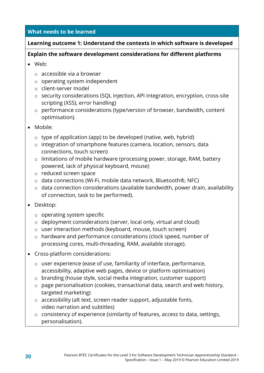#### **Learning outcome 1: Understand the contexts in which software is developed**

#### **Explain the software development considerations for different platforms**

- Web:
	- o accessible via a browser
	- o operating system independent
	- o client-server model
	- o security considerations (SQL injection, API integration, encryption, cross-site scripting (XSS), error handling)
	- o performance considerations (type/version of browser, bandwidth, content optimisation).
- Mobile:
	- o type of application (app) to be developed (native, web, hybrid)
	- o integration of smartphone features (camera, location, sensors, data connections, touch screen)
	- o limitations of mobile hardware (processing power, storage, RAM, battery powered, lack of physical keyboard, mouse)
	- o reduced screen space
	- o data connections (Wi-Fi, mobile data network, Bluetooth®, NFC)
	- o data connection considerations (available bandwidth, power drain, availability of connection, task to be performed).
- Desktop:
	- o operating system specific
	- o deployment considerations (server, local only, virtual and cloud)
	- o user interaction methods (keyboard, mouse, touch screen)
	- o hardware and performance considerations (clock speed, number of processing cores, multi-threading, RAM, available storage).
- Cross-platform considerations:
	- o user experience (ease of use, familiarity of interface, performance, accessibility, adaptive web pages, device or platform optimisation)
	- o branding (house style, social media integration, customer support)
	- o page personalisation (cookies, transactional data, search and web history, targeted marketing)
	- o accessibility (alt text, screen reader support, adjustable fonts, video narration and subtitles)
	- o consistency of experience (similarity of features, access to data, settings, personalisation).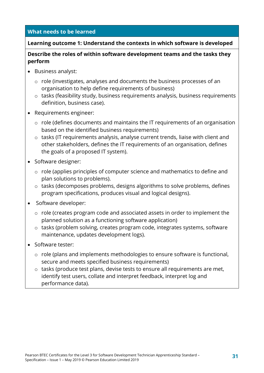#### **Learning outcome 1: Understand the contexts in which software is developed**

#### **Describe the roles of within software development teams and the tasks they perform**

- Business analyst:
	- o role (investigates, analyses and documents the business processes of an organisation to help define requirements of business)
	- o tasks (feasibility study, business requirements analysis, business requirements definition, business case).
- Requirements engineer:
	- o role (defines documents and maintains the IT requirements of an organisation based on the identified business requirements)
	- o tasks (IT requirements analysis, analyse current trends, liaise with client and other stakeholders, defines the IT requirements of an organisation, defines the goals of a proposed IT system).
- Software designer:
	- o role (applies principles of computer science and mathematics to define and plan solutions to problems).
	- o tasks (decomposes problems, designs algorithms to solve problems, defines program specifications, produces visual and logical designs).
- Software developer:
	- o role (creates program code and associated assets in order to implement the planned solution as a functioning software application)
	- o tasks (problem solving, creates program code, integrates systems, software maintenance, updates development logs).
- Software tester:
	- o role (plans and implements methodologies to ensure software is functional, secure and meets specified business requirements)
	- o tasks (produce test plans, devise tests to ensure all requirements are met, identify test users, collate and interpret feedback, interpret log and performance data).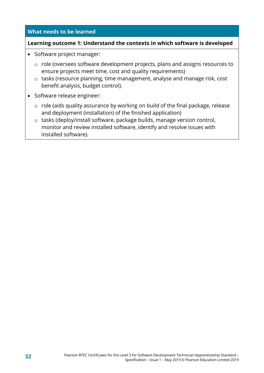#### **Learning outcome 1: Understand the contexts in which software is developed**

- Software project manager:
	- o role (oversees software development projects, plans and assigns resources to ensure projects meet time, cost and quality requirements)
	- o tasks (resource planning, time management, analyse and manage risk, cost benefit analysis, budget control).
- Software release engineer:
	- o role (aids quality assurance by working on build of the final package, release and deployment (installation) of the finished application)
	- o tasks (deploy/install software, package builds, manage version control, monitor and review installed software, identify and resolve issues with installed software).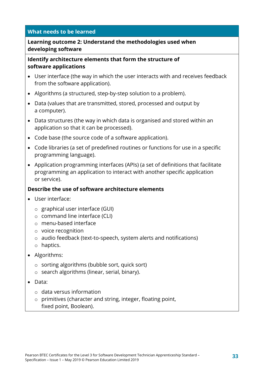#### **Learning outcome 2: Understand the methodologies used when developing software**

#### **Identify architecture elements that form the structure of software applications**

- User interface (the way in which the user interacts with and receives feedback from the software application).
- Algorithms (a structured, step-by-step solution to a problem).
- Data (values that are transmitted, stored, processed and output by a computer).
- Data structures (the way in which data is organised and stored within an application so that it can be processed).
- Code base (the source code of a software application).
- Code libraries (a set of predefined routines or functions for use in a specific programming language).
- Application programming interfaces (APIs) (a set of definitions that facilitate programming an application to interact with another specific application or service).

#### **Describe the use of software architecture elements**

- User interface:
	- o graphical user interface (GUI)
	- o command line interface (CLI)
	- o menu-based interface
	- o voice recognition
	- o audio feedback (text-to-speech, system alerts and notifications)
	- o haptics.
- Algorithms:
	- o sorting algorithms (bubble sort, quick sort)
	- o search algorithms (linear, serial, binary).
- Data:
	- $\circ$  data versus information
	- o primitives (character and string, integer, floating point, fixed point, Boolean).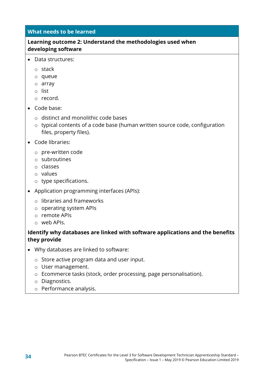#### **Learning outcome 2: Understand the methodologies used when developing software**

- Data structures:
	- o stack
	- o queue
	- o array
	- o list
	- o record.
- Code base:
	- o distinct and monolithic code bases
	- o typical contents of a code base (human written source code, configuration files, property files).
- Code libraries:
	- o pre-written code
	- o subroutines
	- o classes
	- o values
	- o type specifications.
- Application programming interfaces (APIs):
	- o libraries and frameworks
	- o operating system APIs
	- o remote APIs
	- o web APIs.

#### **Identify why databases are linked with software applications and the benefits they provide**

- Why databases are linked to software:
	- o Store active program data and user input.
	- o User management.
	- o Ecommerce tasks (stock, order processing, page personalisation).
	- o Diagnostics.
	- o Performance analysis.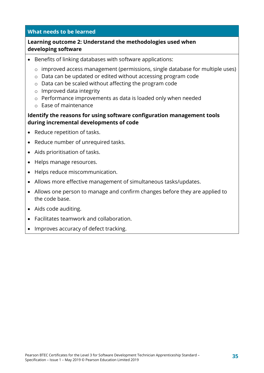#### **Learning outcome 2: Understand the methodologies used when developing software**

- Benefits of linking databases with software applications:
	- o improved access management (permissions, single database for multiple uses)
	- o Data can be updated or edited without accessing program code
	- o Data can be scaled without affecting the program code
	- o Improved data integrity
	- o Performance improvements as data is loaded only when needed
	- o Ease of maintenance

#### **Identify the reasons for using software configuration management tools during incremental developments of code**

- Reduce repetition of tasks.
- Reduce number of unrequired tasks.
- Aids prioritisation of tasks.
- Helps manage resources.
- Helps reduce miscommunication.
- Allows more effective management of simultaneous tasks/updates.
- Allows one person to manage and confirm changes before they are applied to the code base.
- Aids code auditing.
- Facilitates teamwork and collaboration.
- Improves accuracy of defect tracking.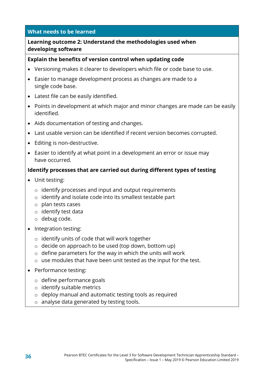#### **Learning outcome 2: Understand the methodologies used when developing software**

#### **Explain the benefits of version control when updating code**

- Versioning makes it clearer to developers which file or code base to use.
- Easier to manage development process as changes are made to a single code base.
- Latest file can be easily identified.
- Points in development at which major and minor changes are made can be easily identified.
- Aids documentation of testing and changes.
- Last usable version can be identified if recent version becomes corrupted.
- Editing is non-destructive.
- Easier to identify at what point in a development an error or issue may have occurred.

#### **Identify processes that are carried out during different types of testing**

- Unit testing:
	- o identify processes and input and output requirements
	- o identify and isolate code into its smallest testable part
	- o plan tests cases
	- o identify test data
	- o debug code.
- Integration testing:
	- o identify units of code that will work together
	- $\circ$  decide on approach to be used (top down, bottom up)
	- $\circ$  define parameters for the way in which the units will work
	- o use modules that have been unit tested as the input for the test.
- Performance testing:
	- o define performance goals
	- o identify suitable metrics
	- o deploy manual and automatic testing tools as required
	- o analyse data generated by testing tools.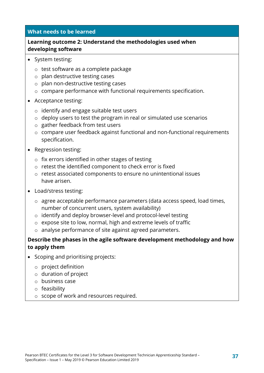#### **Learning outcome 2: Understand the methodologies used when developing software**

- System testing:
	- o test software as a complete package
	- o plan destructive testing cases
	- o plan non-destructive testing cases
	- o compare performance with functional requirements specification.
- Acceptance testing:
	- o identify and engage suitable test users
	- o deploy users to test the program in real or simulated use scenarios
	- o gather feedback from test users
	- o compare user feedback against functional and non-functional requirements specification.
- Regression testing:
	- o fix errors identified in other stages of testing
	- o retest the identified component to check error is fixed
	- o retest associated components to ensure no unintentional issues have arisen.
- Load/stress testing:
	- o agree acceptable performance parameters (data access speed, load times, number of concurrent users, system availability)
	- o identify and deploy browser-level and protocol-level testing
	- o expose site to low, normal, high and extreme levels of traffic
	- o analyse performance of site against agreed parameters.

#### **Describe the phases in the agile software development methodology and how to apply them**

- Scoping and prioritising projects:
	- o project definition
	- o duration of project
	- o business case
	- o feasibility
	- o scope of work and resources required.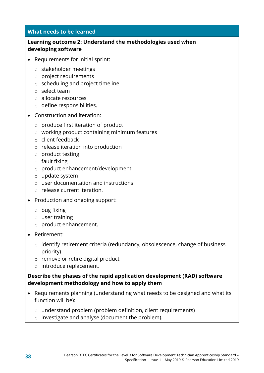#### **Learning outcome 2: Understand the methodologies used when developing software**

- Requirements for initial sprint:
	- o stakeholder meetings
	- o project requirements
	- o scheduling and project timeline
	- o select team
	- o allocate resources
	- o define responsibilities.
- Construction and iteration:
	- o produce first iteration of product
	- o working product containing minimum features
	- o client feedback
	- o release iteration into production
	- o product testing
	- o fault fixing
	- o product enhancement/development
	- o update system
	- o user documentation and instructions
	- o release current iteration.
- Production and ongoing support:
	- o bug fixing
	- o user training
	- o product enhancement.
- Retirement:
	- o identify retirement criteria (redundancy, obsolescence, change of business priority)
	- o remove or retire digital product
	- o introduce replacement.

#### **Describe the phases of the rapid application development (RAD) software development methodology and how to apply them**

- Requirements planning (understanding what needs to be designed and what its function will be):
	- o understand problem (problem definition, client requirements)
	- o investigate and analyse (document the problem).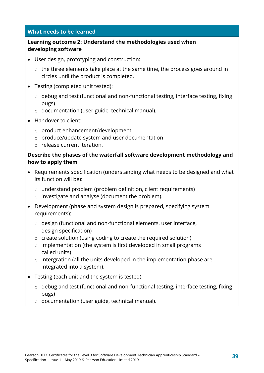#### **Learning outcome 2: Understand the methodologies used when developing software**

- User design, prototyping and construction:
	- o the three elements take place at the same time, the process goes around in circles until the product is completed.
- Testing (completed unit tested):
	- o debug and test (functional and non-functional testing, interface testing, fixing bugs)
	- o documentation (user guide, technical manual).
- Handover to client:
	- o product enhancement/development
	- o produce/update system and user documentation
	- o release current iteration.

#### **Describe the phases of the waterfall software development methodology and how to apply them**

- Requirements specification (understanding what needs to be designed and what its function will be):
	- o understand problem (problem definition, client requirements)
	- o investigate and analyse (document the problem).
- Development (phase and system design is prepared, specifying system requirements):
	- o design (functional and non-functional elements, user interface, design specification)
	- o create solution (using coding to create the required solution)
	- o implementation (the system is first developed in small programs called units)
	- $\circ$  intergration (all the units developed in the implementation phase are integrated into a system).
- Testing (each unit and the system is tested):
	- o debug and test (functional and non-functional testing, interface testing, fixing bugs)
	- o documentation (user guide, technical manual).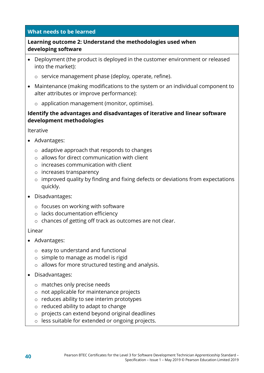#### **Learning outcome 2: Understand the methodologies used when developing software**

- Deployment (the product is deployed in the customer environment or released into the market):
	- o service management phase (deploy, operate, refine).
- Maintenance (making modifications to the system or an individual component to alter attributes or improve performance):
	- o application management (monitor, optimise).

#### **Identify the advantages and disadvantages of iterative and linear software development methodologies**

Iterative

- Advantages:
	- o adaptive approach that responds to changes
	- o allows for direct communication with client
	- o increases communication with client
	- o increases transparency
	- o improved quality by finding and fixing defects or deviations from expectations quickly.
- Disadvantages:
	- $\circ$  focuses on working with software
	- o lacks documentation efficiency
	- o chances of getting off track as outcomes are not clear.

#### Linear

- Advantages:
	- o easy to understand and functional
	- o simple to manage as model is rigid
	- o allows for more structured testing and analysis.
- Disadvantages:
	- o matches only precise needs
	- o not applicable for maintenance projects
	- o reduces ability to see interim prototypes
	- o reduced ability to adapt to change
	- o projects can extend beyond original deadlines
	- o less suitable for extended or ongoing projects.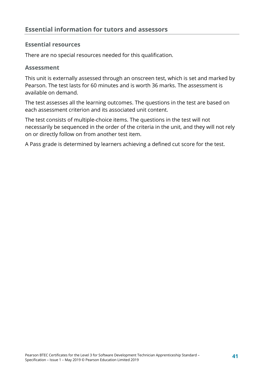#### **Essential resources**

There are no special resources needed for this qualification.

#### **Assessment**

This unit is externally assessed through an onscreen test, which is set and marked by Pearson. The test lasts for 60 minutes and is worth 36 marks. The assessment is available on demand.

The test assesses all the learning outcomes. The questions in the test are based on each assessment criterion and its associated unit content.

The test consists of multiple-choice items. The questions in the test will not necessarily be sequenced in the order of the criteria in the unit, and they will not rely on or directly follow on from another test item.

A Pass grade is determined by learners achieving a defined cut score for the test.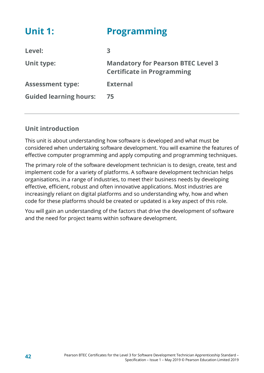<span id="page-45-0"></span>

| <b>Unit 1:</b>                | <b>Programming</b>                                                             |
|-------------------------------|--------------------------------------------------------------------------------|
| Level:                        | 3                                                                              |
| Unit type:                    | <b>Mandatory for Pearson BTEC Level 3</b><br><b>Certificate in Programming</b> |
| <b>Assessment type:</b>       | <b>External</b>                                                                |
| <b>Guided learning hours:</b> | 75                                                                             |

#### **Unit introduction**

This unit is about understanding how software is developed and what must be considered when undertaking software development. You will examine the features of effective computer programming and apply computing and programming techniques.

The primary role of the software development technician is to design, create, test and implement code for a variety of platforms. A software development technician helps organisations, in a range of industries, to meet their business needs by developing effective, efficient, robust and often innovative applications. Most industries are increasingly reliant on digital platforms and so understanding why, how and when code for these platforms should be created or updated is a key aspect of this role.

You will gain an understanding of the factors that drive the development of software and the need for project teams within software development.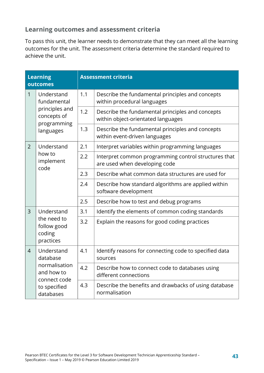#### **Learning outcomes and assessment criteria**

To pass this unit, the learner needs to demonstrate that they can meet all the learning outcomes for the unit. The assessment criteria determine the standard required to achieve the unit.

| <b>Learning</b><br>outcomes |                                                                                                    | <b>Assessment criteria</b> |                                                                                        |
|-----------------------------|----------------------------------------------------------------------------------------------------|----------------------------|----------------------------------------------------------------------------------------|
| $\mathbf{1}$                | Understand<br>fundamental<br>principles and<br>concepts of<br>programming<br>languages             | 1.1                        | Describe the fundamental principles and concepts<br>within procedural languages        |
|                             |                                                                                                    | 1.2                        | Describe the fundamental principles and concepts<br>within object-orientated languages |
|                             |                                                                                                    | 1.3                        | Describe the fundamental principles and concepts<br>within event-driven languages      |
| $\overline{2}$              | Understand<br>how to<br>implement<br>code                                                          | 2.1                        | Interpret variables within programming languages                                       |
|                             |                                                                                                    | 2.2                        | Interpret common programming control structures that<br>are used when developing code  |
|                             |                                                                                                    | 2.3                        | Describe what common data structures are used for                                      |
|                             |                                                                                                    | 2.4                        | Describe how standard algorithms are applied within<br>software development            |
|                             |                                                                                                    | 2.5                        | Describe how to test and debug programs                                                |
| $\overline{3}$              | Understand<br>the need to<br>follow good<br>coding<br>practices                                    | 3.1                        | Identify the elements of common coding standards                                       |
|                             |                                                                                                    | 3.2                        | Explain the reasons for good coding practices                                          |
| $\overline{4}$              | Understand<br>database<br>normalisation<br>and how to<br>connect code<br>to specified<br>databases | 4.1                        | Identify reasons for connecting code to specified data<br>sources                      |
|                             |                                                                                                    | 4.2                        | Describe how to connect code to databases using<br>different connections               |
|                             |                                                                                                    | 4.3                        | Describe the benefits and drawbacks of using database<br>normalisation                 |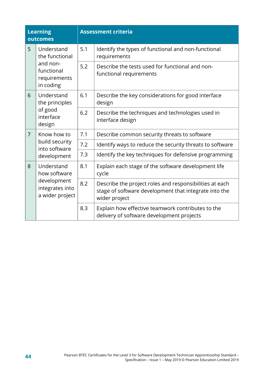| <b>Learning</b><br>outcomes |                                                                                     | <b>Assessment criteria</b> |                                                                                                                                   |
|-----------------------------|-------------------------------------------------------------------------------------|----------------------------|-----------------------------------------------------------------------------------------------------------------------------------|
| 5                           | Understand<br>the functional<br>and non-<br>functional<br>requirements<br>in coding | 5.1                        | Identify the types of functional and non-functional<br>requirements                                                               |
|                             |                                                                                     | 5.2                        | Describe the tests used for functional and non-<br>functional requirements                                                        |
| 6                           | Understand<br>the principles<br>of good<br>interface<br>design                      | 6.1                        | Describe the key considerations for good interface<br>design                                                                      |
|                             |                                                                                     | 6.2                        | Describe the techniques and technologies used in<br>interface design                                                              |
| $\overline{7}$              | Know how to<br>build security<br>into software<br>development                       | 7.1                        | Describe common security threats to software                                                                                      |
|                             |                                                                                     | 7.2                        | Identify ways to reduce the security threats to software                                                                          |
|                             |                                                                                     | 7.3                        | Identify the key techniques for defensive programming                                                                             |
| 8                           | Understand<br>how software<br>development<br>integrates into<br>a wider project     | 8.1                        | Explain each stage of the software development life<br>cycle                                                                      |
|                             |                                                                                     | 8.2                        | Describe the project roles and responsibilities at each<br>stage of software development that integrate into the<br>wider project |
|                             |                                                                                     | 8.3                        | Explain how effective teamwork contributes to the<br>delivery of software development projects                                    |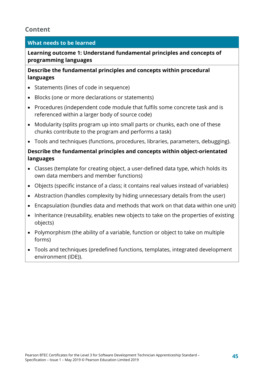#### **Content**

#### **What needs to be learned**

**Learning outcome 1: Understand fundamental principles and concepts of programming languages**

**Describe the fundamental principles and concepts within procedural languages**

- Statements (lines of code in sequence)
- Blocks (one or more declarations or statements)
- Procedures (independent code module that fulfils some concrete task and is referenced within a larger body of source code)
- Modularity (splits program up into small parts or chunks, each one of these chunks contribute to the program and performs a task)
- Tools and techniques (functions, procedures, libraries, parameters, debugging).

#### **Describe the fundamental principles and concepts within object-orientated languages**

- Classes (template for creating object, a user-defined data type, which holds its own data members and member functions)
- Objects (specific instance of a class; it contains real values instead of variables)
- Abstraction (handles complexity by hiding unnecessary details from the user)
- Encapsulation (bundles data and methods that work on that data within one unit)
- Inheritance (reusability, enables new objects to take on the properties of existing objects)
- Polymorphism (the ability of a variable, function or object to take on multiple forms)
- Tools and techniques (predefined functions, templates, integrated development environment (IDE)).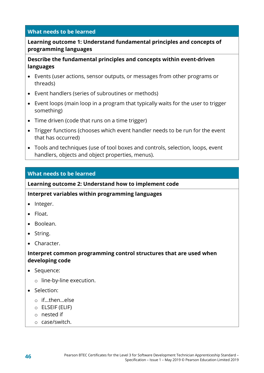#### **Learning outcome 1: Understand fundamental principles and concepts of programming languages**

#### **Describe the fundamental principles and concepts within event-driven languages**

- Events (user actions, sensor outputs, or messages from other programs or threads)
- Event handlers (series of subroutines or methods)
- Event loops (main loop in a program that typically waits for the user to trigger something)
- Time driven (code that runs on a time trigger)
- Trigger functions (chooses which event handler needs to be run for the event that has occurred)
- Tools and techniques (use of tool boxes and controls, selection, loops, event handlers, objects and object properties, menus).

#### **What needs to be learned**

#### **Learning outcome 2: Understand how to implement code**

#### **Interpret variables within programming languages**

- Integer.
- Float.
- Boolean.
- String.
- Character.

#### **Interpret common programming control structures that are used when developing code**

- Sequence:
	- o line-by-line execution.
- Selection:
	- o if…then…else
	- o ELSEIF (ELIF)
	- o nested if
	- o case/switch.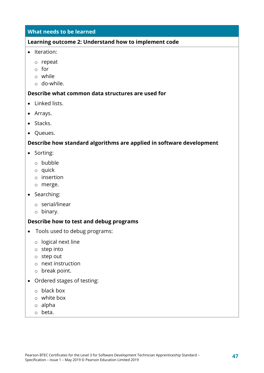#### **Learning outcome 2: Understand how to implement code**

- Iteration:
	- o repeat
	- o for
	- o while
	- o do-while.

#### **Describe what common data structures are used for**

- Linked lists.
- Arrays.
- Stacks.
- Queues.

#### **Describe how standard algorithms are applied in software development**

- Sorting:
	- o bubble
	- o quick
	- o insertion
	- o merge.
- Searching:
	- o serial/linear
	- o binary.

#### **Describe how to test and debug programs**

- Tools used to debug programs:
	- o logical next line
	- o step into
	- o step out
	- o next instruction
	- o break point.
- Ordered stages of testing:
	- o black box
	- o white box
	- o alpha
	- o beta.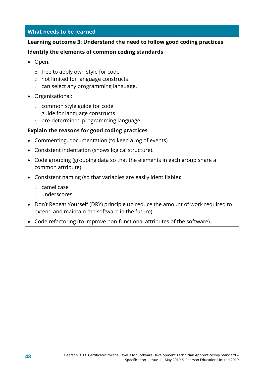#### **Learning outcome 3: Understand the need to follow good coding practices**

#### **Identify the elements of common coding standards**

- Open:
	- o free to apply own style for code
	- o not limited for language constructs
	- o can select any programming language.
- Organisational:
	- o common style guide for code
	- o guide for language constructs
	- o pre-determined programming language.

#### **Explain the reasons for good coding practices**

- Commenting, documentation (to keep a log of events)
- Consistent indentation (shows logical structure).
- Code grouping (grouping data so that the elements in each group share a common attribute).
- Consistent naming (so that variables are easily identifiable):
	- o camel case
	- o underscores.
- Don't Repeat Yourself (DRY) principle (to reduce the amount of work required to extend and maintain the software in the future)
- Code refactoring (to improve non-functional attributes of the software).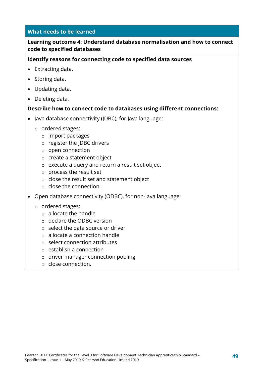#### **Learning outcome 4: Understand database normalisation and how to connect code to specified databases**

#### **Identify reasons for connecting code to specified data sources**

- Extracting data.
- Storing data.
- Updating data.
- Deleting data.

#### **Describe how to connect code to databases using different connections:**

- Java database connectivity (JDBC), for Java language:
	- o ordered stages:
		- o import packages
		- o register the JDBC drivers
		- o open connection
		- o create a statement object
		- o execute a query and return a result set object
		- o process the result set
		- o close the result set and statement object
		- o close the connection.
- Open database connectivity (ODBC), for non-Java language:
	- o ordered stages:
		- o allocate the handle
		- o declare the ODBC version
		- o select the data source or driver
		- o allocate a connection handle
		- o select connection attributes
		- o establish a connection
		- o driver manager connection pooling
		- o close connection.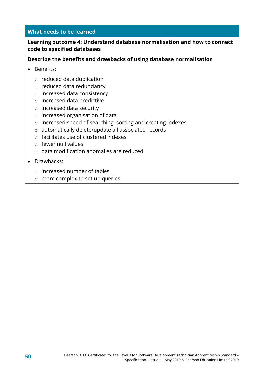#### **Learning outcome 4: Understand database normalisation and how to connect code to specified databases**

#### **Describe the benefits and drawbacks of using database normalisation**

- Benefits:
	- o reduced data duplication
	- o reduced data redundancy
	- o increased data consistency
	- o increased data predictive
	- o increased data security
	- o increased organisation of data
	- o increased speed of searching, sorting and creating indexes
	- o automatically delete/update all associated records
	- o facilitates use of clustered indexes
	- o fewer null values
	- o data modification anomalies are reduced.
- Drawbacks:
	- o increased number of tables
	- o more complex to set up queries.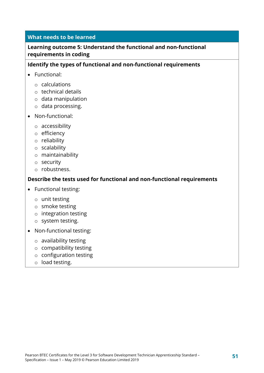#### **Learning outcome 5: Understand the functional and non-functional requirements in coding**

#### **Identify the types of functional and non-functional requirements**

- Functional:
	- o calculations
	- o technical details
	- o data manipulation
	- o data processing.
- Non-functional:
	- o accessibility
	- o efficiency
	- o reliability
	- o scalability
	- o maintainability
	- o security
	- o robustness.

#### **Describe the tests used for functional and non-functional requirements**

- Functional testing:
	- o unit testing
	- o smoke testing
	- o integration testing
	- o system testing.
- Non-functional testing:
	- o availability testing
	- o compatibility testing
	- o configuration testing
	- o load testing.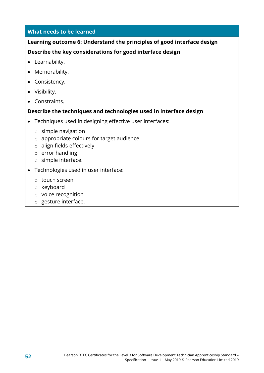#### **Learning outcome 6: Understand the principles of good interface design**

#### **Describe the key considerations for good interface design**

- Learnability.
- Memorability.
- Consistency.
- Visibility.
- Constraints.

#### **Describe the techniques and technologies used in interface design**

- Techniques used in designing effective user interfaces:
	- o simple navigation
	- o appropriate colours for target audience
	- o align fields effectively
	- o error handling
	- o simple interface.
- Technologies used in user interface:
	- o touch screen
	- o keyboard
	- o voice recognition
	- o gesture interface.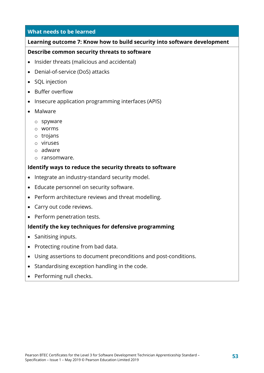#### **Learning outcome 7: Know how to build security into software development**

#### **Describe common security threats to software**

- Insider threats (malicious and accidental)
- Denial-of-service (DoS) attacks
- SQL injection
- Buffer overflow
- Insecure application programming interfaces (APIS)
- Malware
	- o spyware
	- o worms
	- o trojans
	- o viruses
	- o adware
	- o ransomware.

#### **Identify ways to reduce the security threats to software**

- Integrate an industry-standard security model.
- Educate personnel on security software.
- Perform architecture reviews and threat modelling.
- Carry out code reviews.
- Perform penetration tests.

#### **Identify the key techniques for defensive programming**

- Sanitising inputs.
- Protecting routine from bad data.
- Using assertions to document preconditions and post-conditions.
- Standardising exception handling in the code.
- Performing null checks.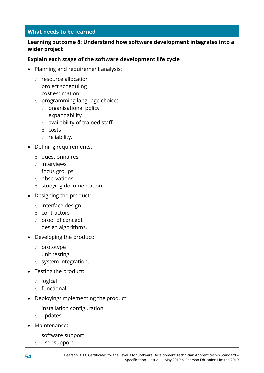#### **Learning outcome 8: Understand how software development integrates into a wider project**

#### **Explain each stage of the software development life cycle**

- Planning and requirement analysis:
	- o resource allocation
	- o project scheduling
	- o cost estimation
	- o programming language choice:
		- o organisational policy
		- o expandability
		- o availability of trained staff
		- o costs
		- o reliability.
- Defining requirements:
	- o questionnaires
	- o interviews
	- o focus groups
	- o observations
	- o studying documentation.
- Designing the product:
	- o interface design
	- o contractors
	- o proof of concept
	- o design algorithms.
- Developing the product:
	- o prototype
	- o unit testing
	- o system integration.
- Testing the product:
	- o logical
	- o functional.
- Deploying/implementing the product:
	- o installation configuration
	- o updates.
- Maintenance:
	- o software support
	- o user support.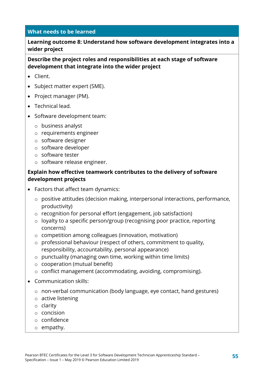**Learning outcome 8: Understand how software development integrates into a wider project**

**Describe the project roles and responsibilities at each stage of software development that integrate into the wider project**

- Client.
- Subject matter expert (SME).
- Project manager (PM).
- Technical lead.
- Software development team:
	- o business analyst
	- o requirements engineer
	- o software designer
	- o software developer
	- o software tester
	- o software release engineer.

#### **Explain how effective teamwork contributes to the delivery of software development projects**

- Factors that affect team dynamics:
	- o positive attitudes (decision making, interpersonal interactions, performance, productivity)
	- o recognition for personal effort (engagement, job satisfaction)
	- o loyalty to a specific person/group (recognising poor practice, reporting concerns)
	- o competition among colleagues (innovation, motivation)
	- o professional behaviour (respect of others, commitment to quality, responsibility, accountability, personal appearance)
	- o punctuality (managing own time, working within time limits)
	- o cooperation (mutual benefit)
	- o conflict management (accommodating, avoiding, compromising).
- Communication skills:
	- o non-verbal communication (body language, eye contact, hand gestures)
	- o active listening
	- o clarity
	- o concision
	- o confidence
	- o empathy.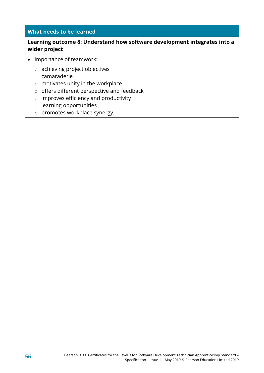#### **Learning outcome 8: Understand how software development integrates into a wider project**

- Importance of teamwork:
	- o achieving project objectives
	- o camaraderie
	- o motivates unity in the workplace
	- o offers different perspective and feedback
	- o improves efficiency and productivity
	- o learning opportunities
	- o promotes workplace synergy.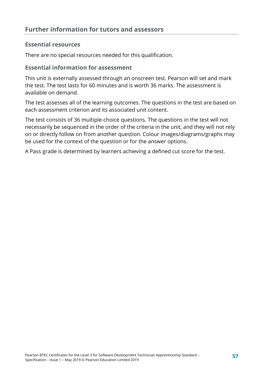#### **Essential resources**

There are no special resources needed for this qualification.

#### **Essential information for assessment**

This unit is externally assessed through an onscreen test. Pearson will set and mark the test. The test lasts for 60 minutes and is worth 36 marks. The assessment is available on demand.

The test assesses all of the learning outcomes. The questions in the test are based on each assessment criterion and its associated unit content.

The test consists of 36 multiple-choice questions. The questions in the test will not necessarily be sequenced in the order of the criteria in the unit, and they will not rely on or directly follow on from another question. Colour images/diagrams/graphs may be used for the context of the question or for the answer options.

A Pass grade is determined by learners achieving a defined cut score for the test.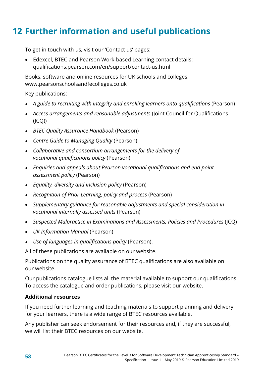### <span id="page-61-0"></span>**12 Further information and useful publications**

To get in touch with us, visit our 'Contact us' pages:

• Edexcel, BTEC and Pearson Work-based Learning contact details: qualifications.pearson.com/en/support/contact-us.html

Books, software and online resources for UK schools and colleges: www.pearsonschoolsandfecolleges.co.uk

Key publications:

- *A guide to recruiting with integrity and enrolling learners onto qualifications* (Pearson)
- *Access arrangements and reasonable adjustments* (Joint Council for Qualifications  $(I(CQ))$
- *BTEC Quality Assurance Handbook* (Pearson)
- *Centre Guide to Managing Quality* (Pearson)
- *Collaborative and consortium arrangements for the delivery of vocational qualifications policy* (Pearson)
- *Enquiries and appeals about Pearson vocational qualifications and end point assessment policy* (Pearson)
- *Equality, diversity and inclusion policy* (Pearson)
- *Recognition of Prior Learning, policy and process* (Pearson)
- *Supplementary guidance for reasonable adjustments and special consideration in vocational internally assessed units* (Pearson)
- *Suspected Malpractice in Examinations and Assessments, Policies and Procedures* (JCQ)
- *UK Information Manual* (Pearson)
- *Use of languages in qualifications policy* (Pearson).

All of these publications are available on our website.

Publications on the quality assurance of BTEC qualifications are also available on our website.

Our publications catalogue lists all the material available to support our qualifications. To access the catalogue and order publications, please visit our website.

#### **Additional resources**

If you need further learning and teaching materials to support planning and delivery for your learners, there is a wide range of BTEC resources available.

Any publisher can seek endorsement for their resources and, if they are successful, we will list their BTEC resources on our website.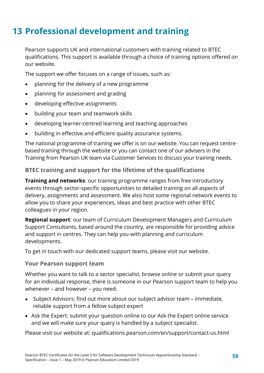### <span id="page-62-0"></span>**13 Professional development and training**

Pearson supports UK and international customers with training related to BTEC qualifications. This support is available through a choice of training options offered on our website.

The support we offer focuses on a range of issues, such as:

- planning for the delivery of a new programme
- planning for assessment and grading
- developing effective assignments
- building your team and teamwork skills
- developing learner-centred learning and teaching approaches
- building in effective and efficient quality assurance systems.

The national programme of training we offer is on our website. You can request centrebased training through the website or you can contact one of our advisers in the Training from Pearson UK team via Customer Services to discuss your training needs.

#### **BTEC training and support for the lifetime of the qualifications**

**Training and networks**: our training programme ranges from free introductory events through sector-specific opportunities to detailed training on all aspects of delivery, assignments and assessment. We also host some regional network events to allow you to share your experiences, ideas and best practice with other BTEC colleagues in your region.

**Regional support**: our team of Curriculum Development Managers and Curriculum Support Consultants, based around the country, are responsible for providing advice and support in centres. They can help you with planning and curriculum developments.

To get in touch with our dedicated support teams, please visit our website.

#### **Your Pearson support team**

Whether you want to talk to a sector specialist, browse online or submit your query for an individual response, there is someone in our Pearson support team to help you whenever – and however – you need:

- Subject Advisors: find out more about our subject advisor team immediate, reliable support from a fellow subject expert
- Ask the Expert: submit your question online to our Ask the Expert online service and we will make sure your query is handled by a subject specialist.

Please visit our website at: qualifications.pearson.com/en/support/contact-us.html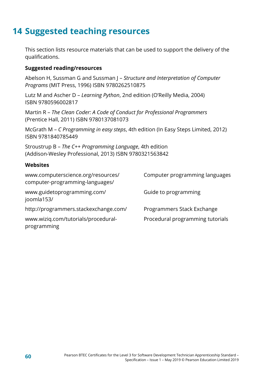### <span id="page-63-0"></span>**14 Suggested teaching resources**

This section lists resource materials that can be used to support the delivery of the qualifications.

#### **Suggested reading/resources**

Abelson H, Sussman G and Sussman J – *Structure and Interpretation of Computer Programs* (MIT Press, 1996) ISBN 9780262510875

Lutz M and Ascher D – *Learning Python*, 2nd edition (O'Reilly Media, 2004) ISBN 9780596002817

Martin R – *The Clean Coder: A Code of Conduct for Professional Programmers* (Prentice Hall, 2011) ISBN 9780137081073

McGrath M – *C Programming in easy steps*, 4th edition (In Easy Steps Limited, 2012) ISBN 9781840785449

Stroustrup B – *The C++ Programming Language*, 4th edition (Addison-Wesley Professional, 2013) ISBN 9780321563842

#### **Websites**

| www.computerscience.org/resources/<br>computer-programming-languages/ | Computer programming languages   |
|-----------------------------------------------------------------------|----------------------------------|
| www.guidetoprogramming.com/<br>joomla153/                             | Guide to programming             |
| http://programmers.stackexchange.com/                                 | Programmers Stack Exchange       |
| www.wiziq.com/tutorials/procedural-<br>programming                    | Procedural programming tutorials |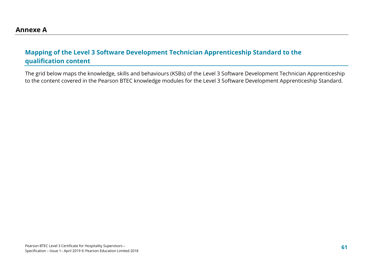#### **Mapping of the Level 3 Software Development Technician Apprenticeship Standard to the qualification content**

<span id="page-64-1"></span><span id="page-64-0"></span>The grid below maps the knowledge, skills and behaviours (KSBs) of the Level 3 Software Development Technician Apprenticeship to the content covered in the Pearson BTEC knowledge modules for the Level 3 Software Development Apprenticeship Standard.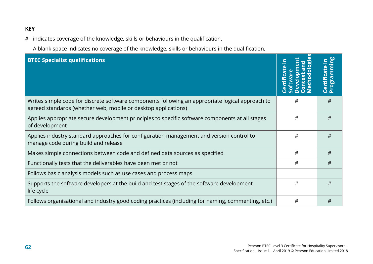#### **KEY**

# indicates coverage of the knowledge, skills or behaviours in the qualification.

A blank space indicates no coverage of the knowledge, skills or behaviours in the qualification.

| <b>BTEC Specialist qualifications</b>                                                                                                                              | <u>៍ស</u><br>$\circ$ | ogral<br>ပိ ရိ |
|--------------------------------------------------------------------------------------------------------------------------------------------------------------------|----------------------|----------------|
| Writes simple code for discrete software components following an appropriate logical approach to<br>agreed standards (whether web, mobile or desktop applications) | #                    | #              |
| Applies appropriate secure development principles to specific software components at all stages<br>of development                                                  | #                    | #              |
| Applies industry standard approaches for configuration management and version control to<br>manage code during build and release                                   | #                    | #              |
| Makes simple connections between code and defined data sources as specified                                                                                        | #                    | #              |
| Functionally tests that the deliverables have been met or not                                                                                                      | #                    | #              |
| Follows basic analysis models such as use cases and process maps                                                                                                   |                      |                |
| Supports the software developers at the build and test stages of the software development<br>life cycle                                                            | #                    | #              |
| Follows organisational and industry good coding practices (including for naming, commenting, etc.)                                                                 | #                    | #              |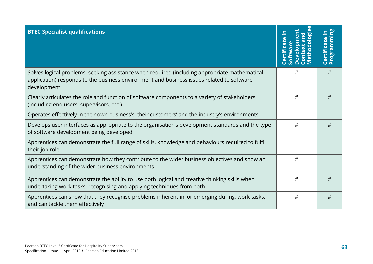| <b>BTEC Specialist qualifications</b>                                                                                                                                                                     | <u>ស</u><br>$\frac{1}{\sigma}$<br>$\overline{\mathbf{u}}$ | $\equiv$<br>Certificate i<br>Programm <u>i</u> ı<br>gra |
|-----------------------------------------------------------------------------------------------------------------------------------------------------------------------------------------------------------|-----------------------------------------------------------|---------------------------------------------------------|
| Solves logical problems, seeking assistance when required (including appropriate mathematical<br>application) responds to the business environment and business issues related to software<br>development | #                                                         | #                                                       |
| Clearly articulates the role and function of software components to a variety of stakeholders<br>(including end users, supervisors, etc.)                                                                 | #                                                         | #                                                       |
| Operates effectively in their own business's, their customers' and the industry's environments                                                                                                            |                                                           |                                                         |
| Develops user interfaces as appropriate to the organisation's development standards and the type<br>of software development being developed                                                               | #                                                         | #                                                       |
| Apprentices can demonstrate the full range of skills, knowledge and behaviours required to fulfil<br>their job role                                                                                       |                                                           |                                                         |
| Apprentices can demonstrate how they contribute to the wider business objectives and show an<br>understanding of the wider business environments                                                          | #                                                         |                                                         |
| Apprentices can demonstrate the ability to use both logical and creative thinking skills when<br>undertaking work tasks, recognising and applying techniques from both                                    | #                                                         | #                                                       |
| Apprentices can show that they recognise problems inherent in, or emerging during, work tasks,<br>and can tackle them effectively                                                                         | #                                                         | #                                                       |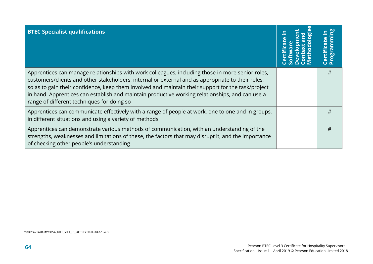| <b>BTEC Specialist qualifications</b>                                                                                                                                                                                                                                                                                                                                                                                                                        | <b>DBL</b><br>Certil |
|--------------------------------------------------------------------------------------------------------------------------------------------------------------------------------------------------------------------------------------------------------------------------------------------------------------------------------------------------------------------------------------------------------------------------------------------------------------|----------------------|
| Apprentices can manage relationships with work colleagues, including those in more senior roles,<br>customers/clients and other stakeholders, internal or external and as appropriate to their roles,<br>so as to gain their confidence, keep them involved and maintain their support for the task/project<br>in hand. Apprentices can establish and maintain productive working relationships, and can use a<br>range of different techniques for doing so | #                    |
| Apprentices can communicate effectively with a range of people at work, one to one and in groups,<br>in different situations and using a variety of methods                                                                                                                                                                                                                                                                                                  | #                    |
| Apprentices can demonstrate various methods of communication, with an understanding of the<br>strengths, weaknesses and limitations of these, the factors that may disrupt it, and the importance<br>of checking other people's understanding                                                                                                                                                                                                                | #                    |